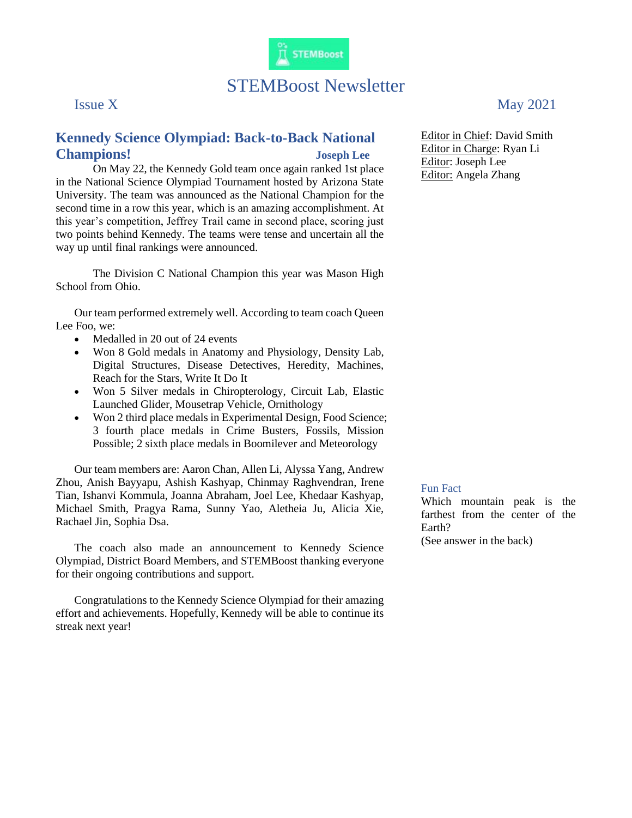

# STEMBoost Newsletter

### **Kennedy Science Olympiad: Back-to-Back National Champions! Joseph Lee**

On May 22, the Kennedy Gold team once again ranked 1st place in the National Science Olympiad Tournament hosted by Arizona State University. The team was announced as the National Champion for the second time in a row this year, which is an amazing accomplishment. At this year's competition, Jeffrey Trail came in second place, scoring just two points behind Kennedy. The teams were tense and uncertain all the way up until final rankings were announced.

The Division C National Champion this year was Mason High School from Ohio.

Our team performed extremely well. According to team coach Queen Lee Foo, we:

- Medalled in 20 out of 24 events
- Won 8 Gold medals in Anatomy and Physiology, Density Lab, Digital Structures, Disease Detectives, Heredity, Machines, Reach for the Stars, Write It Do It
- Won 5 Silver medals in Chiropterology, Circuit Lab, Elastic Launched Glider, Mousetrap Vehicle, Ornithology
- Won 2 third place medals in Experimental Design, Food Science; 3 fourth place medals in Crime Busters, Fossils, Mission Possible; 2 sixth place medals in Boomilever and Meteorology

Our team members are: Aaron Chan, Allen Li, Alyssa Yang, Andrew Zhou, Anish Bayyapu, Ashish Kashyap, Chinmay Raghvendran, Irene Tian, Ishanvi Kommula, Joanna Abraham, Joel Lee, Khedaar Kashyap, Michael Smith, Pragya Rama, Sunny Yao, Aletheia Ju, Alicia Xie, Rachael Jin, Sophia Dsa.

The coach also made an announcement to Kennedy Science Olympiad, District Board Members, and STEMBoost thanking everyone for their ongoing contributions and support.

Congratulations to the Kennedy Science Olympiad for their amazing effort and achievements. Hopefully, Kennedy will be able to continue its streak next year!

## Issue X May 2021

Editor in Chief: David Smith Editor in Charge: Ryan Li Editor: Joseph Lee Editor: Angela Zhang

### Fun Fact

Which mountain peak is the farthest from the center of the Earth?

(See answer in the back)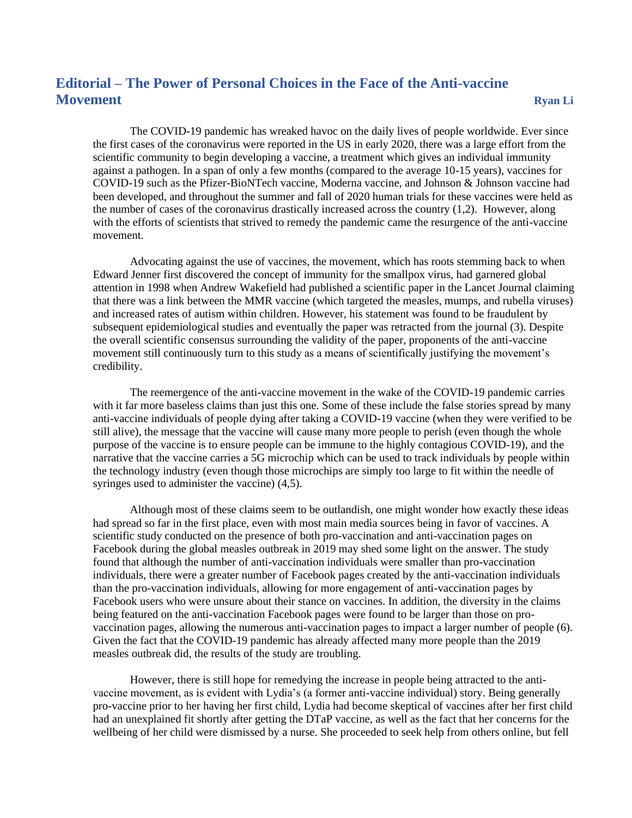### **Editorial – The Power of Personal Choices in the Face of the Anti-vaccine Movement Ryan Li**

The COVID-19 pandemic has wreaked havoc on the daily lives of people worldwide. Ever since the first cases of the coronavirus were reported in the US in early 2020, there was a large effort from the scientific community to begin developing a vaccine, a treatment which gives an individual immunity against a pathogen. In a span of only a few months (compared to the average 10-15 years), vaccines for COVID-19 such as the Pfizer-BioNTech vaccine, Moderna vaccine, and Johnson & Johnson vaccine had been developed, and throughout the summer and fall of 2020 human trials for these vaccines were held as the number of cases of the coronavirus drastically increased across the country (1,2). However, along with the efforts of scientists that strived to remedy the pandemic came the resurgence of the anti-vaccine movement.

Advocating against the use of vaccines, the movement, which has roots stemming back to when Edward Jenner first discovered the concept of immunity for the smallpox virus, had garnered global attention in 1998 when Andrew Wakefield had published a scientific paper in the Lancet Journal claiming that there was a link between the MMR vaccine (which targeted the measles, mumps, and rubella viruses) and increased rates of autism within children. However, his statement was found to be fraudulent by subsequent epidemiological studies and eventually the paper was retracted from the journal (3). Despite the overall scientific consensus surrounding the validity of the paper, proponents of the anti-vaccine movement still continuously turn to this study as a means of scientifically justifying the movement's credibility.

The reemergence of the anti-vaccine movement in the wake of the COVID-19 pandemic carries with it far more baseless claims than just this one. Some of these include the false stories spread by many anti-vaccine individuals of people dying after taking a COVID-19 vaccine (when they were verified to be still alive), the message that the vaccine will cause many more people to perish (even though the whole purpose of the vaccine is to ensure people can be immune to the highly contagious COVID-19), and the narrative that the vaccine carries a 5G microchip which can be used to track individuals by people within the technology industry (even though those microchips are simply too large to fit within the needle of syringes used to administer the vaccine) (4,5).

Although most of these claims seem to be outlandish, one might wonder how exactly these ideas had spread so far in the first place, even with most main media sources being in favor of vaccines. A scientific study conducted on the presence of both pro-vaccination and anti-vaccination pages on Facebook during the global measles outbreak in 2019 may shed some light on the answer. The study found that although the number of anti-vaccination individuals were smaller than pro-vaccination individuals, there were a greater number of Facebook pages created by the anti-vaccination individuals than the pro-vaccination individuals, allowing for more engagement of anti-vaccination pages by Facebook users who were unsure about their stance on vaccines. In addition, the diversity in the claims being featured on the anti-vaccination Facebook pages were found to be larger than those on provaccination pages, allowing the numerous anti-vaccination pages to impact a larger number of people (6). Given the fact that the COVID-19 pandemic has already affected many more people than the 2019 measles outbreak did, the results of the study are troubling.

However, there is still hope for remedying the increase in people being attracted to the antivaccine movement, as is evident with Lydia's (a former anti-vaccine individual) story. Being generally pro-vaccine prior to her having her first child, Lydia had become skeptical of vaccines after her first child had an unexplained fit shortly after getting the DTaP vaccine, as well as the fact that her concerns for the wellbeing of her child were dismissed by a nurse. She proceeded to seek help from others online, but fell